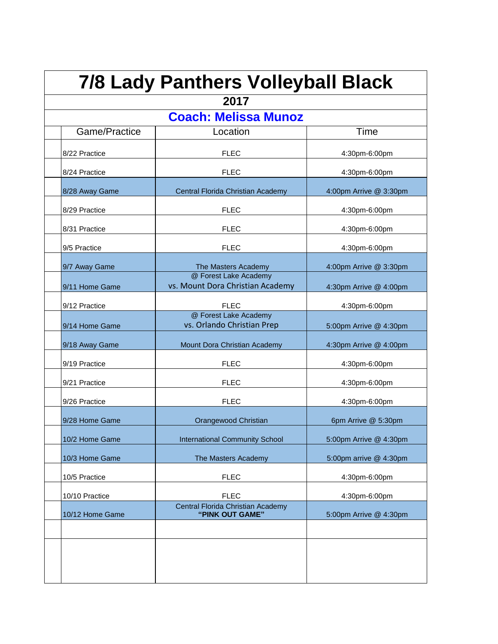| <b>7/8 Lady Panthers Volleyball Black</b> |                                                           |                          |  |
|-------------------------------------------|-----------------------------------------------------------|--------------------------|--|
| 2017                                      |                                                           |                          |  |
| <b>Coach: Melissa Munoz</b>               |                                                           |                          |  |
| Game/Practice                             | Location                                                  | Time                     |  |
| 8/22 Practice                             | <b>FLEC</b>                                               | 4:30pm-6:00pm            |  |
| 8/24 Practice                             | <b>FLEC</b>                                               | 4:30pm-6:00pm            |  |
| 8/28 Away Game                            | Central Florida Christian Academy                         | 4:00pm Arrive $@3:30$ pm |  |
| 8/29 Practice                             | <b>FLEC</b>                                               | 4:30pm-6:00pm            |  |
| 8/31 Practice                             | FLEC                                                      | 4:30pm-6:00pm            |  |
| 9/5 Practice                              | <b>FLEC</b>                                               | 4:30pm-6:00pm            |  |
| 9/7 Away Game                             | The Masters Academy                                       | 4:00pm Arrive @ 3:30pm   |  |
| 9/11 Home Game                            | @ Forest Lake Academy<br>vs. Mount Dora Christian Academy | 4:30pm Arrive @ 4:00pm   |  |
| 9/12 Practice                             | <b>FLEC</b>                                               | 4:30pm-6:00pm            |  |
| 9/14 Home Game                            | @ Forest Lake Academy<br>vs. Orlando Christian Prep       | 5:00pm Arrive @ 4:30pm   |  |
| 9/18 Away Game                            | Mount Dora Christian Academy                              | 4:30pm Arrive @ 4:00pm   |  |
| 9/19 Practice                             | <b>FLEC</b>                                               | 4:30pm-6:00pm            |  |
| 9/21 Practice                             | <b>FLEC</b>                                               | 4:30pm-6:00pm            |  |
| 9/26 Practice                             | FLFC                                                      | 4:30pm-6:00pm            |  |
| 9/28 Home Game                            | Orangewood Christian                                      | 6pm Arrive @ 5:30pm      |  |
| 10/2 Home Game                            | <b>International Community School</b>                     | 5:00pm Arrive @ 4:30pm   |  |
| 10/3 Home Game                            | The Masters Academy                                       | 5:00pm arrive @ 4:30pm   |  |
| 10/5 Practice                             | <b>FLEC</b>                                               | 4:30pm-6:00pm            |  |
| 10/10 Practice                            | <b>FLEC</b>                                               | 4:30pm-6:00pm            |  |
| 10/12 Home Game                           | Central Florida Christian Academy<br>"PINK OUT GAME"      | 5:00pm Arrive @ 4:30pm   |  |
|                                           |                                                           |                          |  |
|                                           |                                                           |                          |  |
|                                           |                                                           |                          |  |